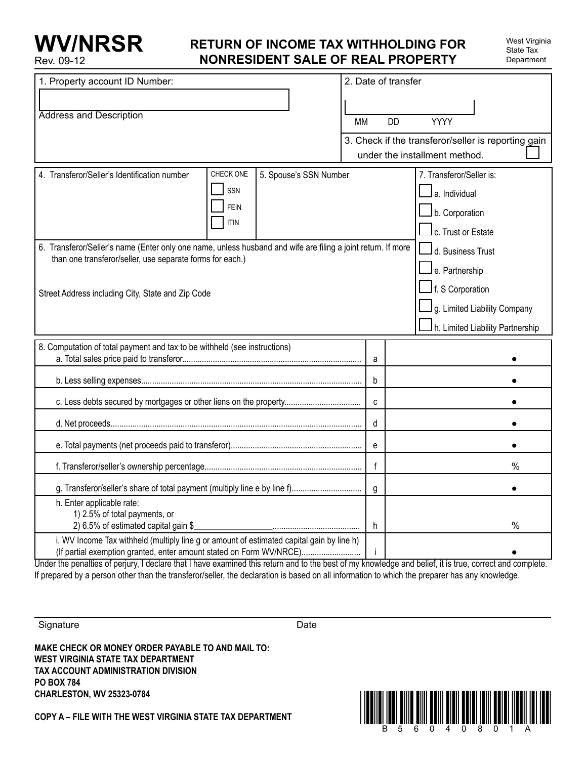### **Return of income tax withholding for nonresident sale of real property**

| 1. Property account ID Number:                                                                                                                                            |                                                |                        | 2. Date of transfer |                                                     |                                                             |  |  |
|---------------------------------------------------------------------------------------------------------------------------------------------------------------------------|------------------------------------------------|------------------------|---------------------|-----------------------------------------------------|-------------------------------------------------------------|--|--|
|                                                                                                                                                                           |                                                |                        |                     |                                                     |                                                             |  |  |
| <b>Address and Description</b>                                                                                                                                            |                                                |                        | <b>MM</b>           |                                                     | <b>YYYY</b><br><b>DD</b>                                    |  |  |
|                                                                                                                                                                           |                                                |                        |                     | 3. Check if the transferor/seller is reporting gain |                                                             |  |  |
|                                                                                                                                                                           |                                                |                        |                     |                                                     | under the installment method.                               |  |  |
| 4. Transferor/Seller's Identification number                                                                                                                              | CHECK ONE<br>SSN<br><b>FEIN</b><br><b>ITIN</b> | 5. Spouse's SSN Number |                     |                                                     | 7. Transferor/Seller is:<br>a. Individual<br>b. Corporation |  |  |
|                                                                                                                                                                           |                                                |                        |                     |                                                     | c. Trust or Estate                                          |  |  |
| 6. Transferor/Seller's name (Enter only one name, unless husband and wife are filing a joint return. If more<br>than one transferor/seller, use separate forms for each.) |                                                |                        |                     | l d. Business Trust<br>$\sqcup$ e. Partnership      |                                                             |  |  |
| Street Address including City, State and Zip Code                                                                                                                         |                                                |                        |                     | $\mathsf{\underline{J}}$ f. S Corporation           |                                                             |  |  |
|                                                                                                                                                                           |                                                |                        |                     | g. Limited Liability Company                        |                                                             |  |  |
|                                                                                                                                                                           |                                                |                        |                     |                                                     | h. Limited Liability Partnership                            |  |  |
| 8. Computation of total payment and tax to be withheld (see instructions)                                                                                                 |                                                |                        |                     | a                                                   |                                                             |  |  |
|                                                                                                                                                                           |                                                |                        |                     | b                                                   |                                                             |  |  |
| c. Less debts secured by mortgages or other liens on the property                                                                                                         |                                                |                        |                     | $\mathbf{c}$                                        |                                                             |  |  |
|                                                                                                                                                                           |                                                |                        |                     | d                                                   |                                                             |  |  |
|                                                                                                                                                                           |                                                |                        |                     | e                                                   |                                                             |  |  |
|                                                                                                                                                                           |                                                |                        |                     | $\mathsf{f}$                                        | $\%$                                                        |  |  |
|                                                                                                                                                                           |                                                |                        |                     | g                                                   |                                                             |  |  |
| h. Enter applicable rate:<br>1) 2.5% of total payments, or<br>2) 6.5% of estimated capital gain \$                                                                        |                                                |                        |                     | h.                                                  | %                                                           |  |  |
| i. WV Income Tax withheld (multiply line g or amount of estimated capital gain by line h)<br>(If partial exemption granted, enter amount stated on Form WV/NRCE)          |                                                |                        |                     |                                                     |                                                             |  |  |

Under the penalties of perjury, I declare that I have examined this return and to the best of my knowledge and belief, it is true, correct and complete. If prepared by a person other than the transferor/seller, the declaration is based on all information to which the preparer has any knowledge.

Signature Date Date

**Make check or money order payable to and mail to: West Virginia State Tax Department Tax Account Administration Division PO Box 784 Charleston, WV 25323-0784**

**COPY A – FILE WITH THE WEST VIRGINIA STATE TAX DEPARTMENT** 

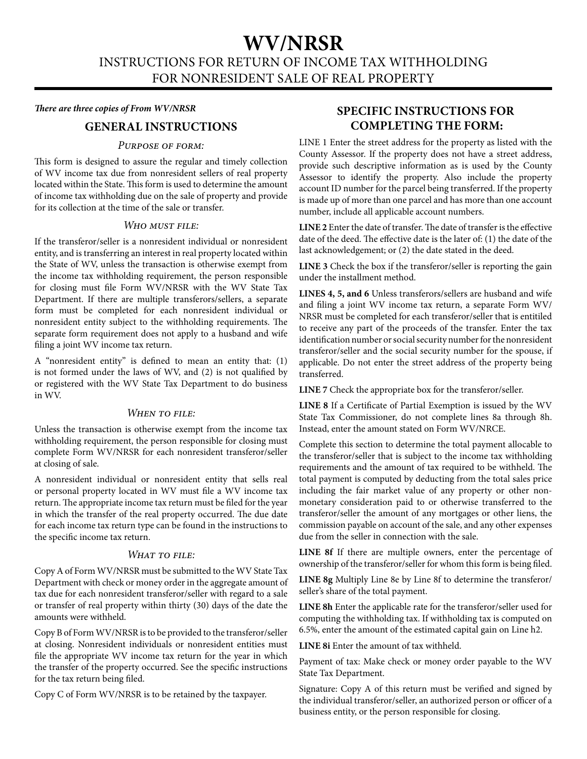# **WV/NRSR**

Instructions for return of income tax withholding for nonresident sale of real property

#### *There are three copies of From WV/NRSR*

### **General Instructions**

#### *Purpose of form:*

This form is designed to assure the regular and timely collection of WV income tax due from nonresident sellers of real property located within the State. This form is used to determine the amount of income tax withholding due on the sale of property and provide for its collection at the time of the sale or transfer.

#### *Who must file:*

If the transferor/seller is a nonresident individual or nonresident entity, and is transferring an interest in real property located within the State of WV, unless the transaction is otherwise exempt from the income tax withholding requirement, the person responsible for closing must file Form WV/NRSR with the WV State Tax Department. If there are multiple transferors/sellers, a separate form must be completed for each nonresident individual or nonresident entity subject to the withholding requirements. The separate form requirement does not apply to a husband and wife filing a joint WV income tax return.

A "nonresident entity" is defined to mean an entity that: (1) is not formed under the laws of WV, and (2) is not qualified by or registered with the WV State Tax Department to do business in WV.

#### *When to file:*

Unless the transaction is otherwise exempt from the income tax withholding requirement, the person responsible for closing must complete Form WV/NRSR for each nonresident transferor/seller at closing of sale.

A nonresident individual or nonresident entity that sells real or personal property located in WV must file a WV income tax return. The appropriate income tax return must be filed for the year in which the transfer of the real property occurred. The due date for each income tax return type can be found in the instructions to the specific income tax return.

#### *What to file:*

Copy A of Form WV/NRSR must be submitted to the WV State Tax Department with check or money order in the aggregate amount of tax due for each nonresident transferor/seller with regard to a sale or transfer of real property within thirty (30) days of the date the amounts were withheld.

Copy B of Form WV/NRSR is to be provided to the transferor/seller at closing. Nonresident individuals or nonresident entities must file the appropriate WV income tax return for the year in which the transfer of the property occurred. See the specific instructions for the tax return being filed.

Copy C of Form WV/NRSR is to be retained by the taxpayer.

### **Specific Instructions for Completing the form:**

LINE 1 Enter the street address for the property as listed with the County Assessor. If the property does not have a street address, provide such descriptive information as is used by the County Assessor to identify the property. Also include the property account ID number for the parcel being transferred. If the property is made up of more than one parcel and has more than one account number, include all applicable account numbers.

**LINE 2** Enter the date of transfer. The date of transfer is the effective date of the deed. The effective date is the later of: (1) the date of the last acknowledgement; or (2) the date stated in the deed.

**LINE 3** Check the box if the transferor/seller is reporting the gain under the installment method.

**LINES 4, 5, and 6** Unless transferors/sellers are husband and wife and filing a joint WV income tax return, a separate Form WV/ NRSR must be completed for each transferor/seller that is entitiled to receive any part of the proceeds of the transfer. Enter the tax identification number or social security number for the nonresident transferor/seller and the social security number for the spouse, if applicable. Do not enter the street address of the property being transferred.

**LINE 7** Check the appropriate box for the transferor/seller.

**LINE 8** If a Certificate of Partial Exemption is issued by the WV State Tax Commissioner, do not complete lines 8a through 8h. Instead, enter the amount stated on Form WV/NRCE.

Complete this section to determine the total payment allocable to the transferor/seller that is subject to the income tax withholding requirements and the amount of tax required to be withheld. The total payment is computed by deducting from the total sales price including the fair market value of any property or other nonmonetary consideration paid to or otherwise transferred to the transferor/seller the amount of any mortgages or other liens, the commission payable on account of the sale, and any other expenses due from the seller in connection with the sale.

**LINE 8f** If there are multiple owners, enter the percentage of ownership of the transferor/seller for whom this form is being filed.

**LINE 8g** Multiply Line 8e by Line 8f to determine the transferor/ seller's share of the total payment.

**LINE 8h** Enter the applicable rate for the transferor/seller used for computing the withholding tax. If withholding tax is computed on 6.5%, enter the amount of the estimated capital gain on Line h2.

**LINE 8i** Enter the amount of tax withheld.

Payment of tax: Make check or money order payable to the WV State Tax Department.

Signature: Copy A of this return must be verified and signed by the individual transferor/seller, an authorized person or officer of a business entity, or the person responsible for closing.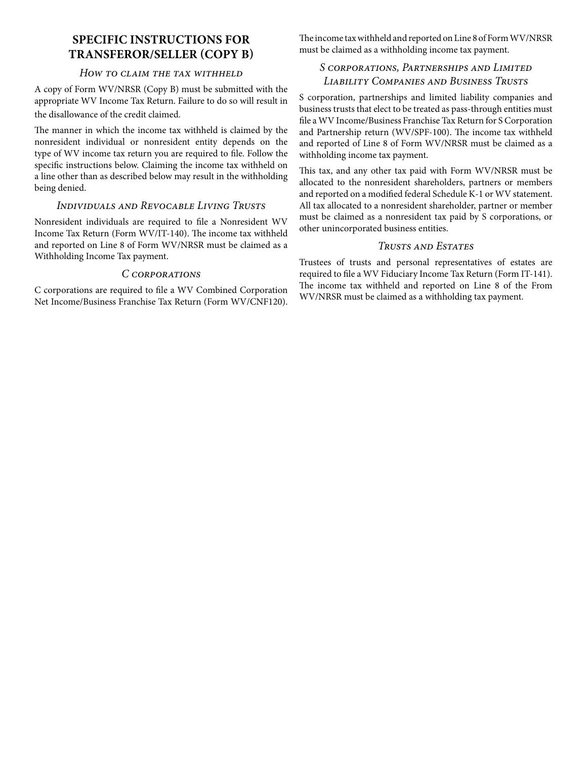### **Specific instructions for Transferor/Seller (Copy B)**

#### *How to claim the tax withheld*

A copy of Form WV/NRSR (Copy B) must be submitted with the appropriate WV Income Tax Return. Failure to do so will result in the disallowance of the credit claimed.

The manner in which the income tax withheld is claimed by the nonresident individual or nonresident entity depends on the type of WV income tax return you are required to file. Follow the specific instructions below. Claiming the income tax withheld on a line other than as described below may result in the withholding being denied.

#### *Individuals and Revocable Living Trusts*

Nonresident individuals are required to file a Nonresident WV Income Tax Return (Form WV/IT-140). The income tax withheld and reported on Line 8 of Form WV/NRSR must be claimed as a Withholding Income Tax payment.

#### *C corporations*

C corporations are required to file a WV Combined Corporation Net Income/Business Franchise Tax Return (Form WV/CNF120). The income tax withheld and reported on Line 8 of Form WV/NRSR must be claimed as a withholding income tax payment.

#### *S corporations, Partnerships and Limited Liability Companies and Business Trusts*

S corporation, partnerships and limited liability companies and business trusts that elect to be treated as pass-through entities must file a WV Income/Business Franchise Tax Return for S Corporation and Partnership return (WV/SPF -100). The income tax withheld and reported of Line 8 of Form WV/NRSR must be claimed as a withholding income tax payment.

This tax, and any other tax paid with Form WV/NRSR must be allocated to the nonresident shareholders, partners or members and reported on a modified federal Schedule K-1 or WV statement. All tax allocated to a nonresident shareholder, partner or member must be claimed as a nonresident tax paid by S corporations, or other unincorporated business entities.

#### *Trusts and Estates*

Trustees of trusts and personal representatives of estates are required to file a WV Fiduciary Income Tax Return (Form IT-141). The income tax withheld and reported on Line 8 of the From WV/NRSR must be claimed as a withholding tax payment.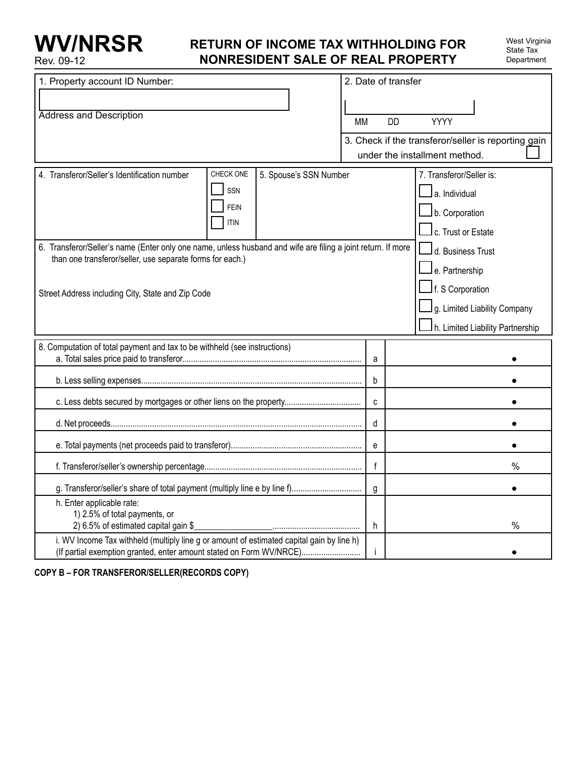# **WV/NRSR** Rev. 09-12

## **Return of income tax withholding for nonresident sale of real property**

| West Virginia |
|---------------|
| State Tax     |
| Department    |

| 1. Property account ID Number:                                                                                                                                            |                            | 2. Date of transfer    |           |                |                                                     |
|---------------------------------------------------------------------------------------------------------------------------------------------------------------------------|----------------------------|------------------------|-----------|----------------|-----------------------------------------------------|
|                                                                                                                                                                           |                            |                        |           |                |                                                     |
| <b>Address and Description</b>                                                                                                                                            |                            |                        | <b>MM</b> | <b>DD</b>      | <b>YYYY</b>                                         |
|                                                                                                                                                                           |                            |                        |           |                | 3. Check if the transferor/seller is reporting gain |
|                                                                                                                                                                           |                            |                        |           |                | under the installment method.                       |
| 4. Transferor/Seller's Identification number                                                                                                                              | CHECK ONE                  | 5. Spouse's SSN Number |           |                | 7. Transferor/Seller is:                            |
|                                                                                                                                                                           | SSN                        |                        |           |                | $\mathsf I$ a. Individual                           |
|                                                                                                                                                                           | <b>FEIN</b><br><b>ITIN</b> |                        |           |                | $\mathsf{\mathsf{I}}$ b. Corporation                |
|                                                                                                                                                                           |                            |                        |           |                | $\mathsf l$ c. Trust or Estate                      |
| 6. Transferor/Seller's name (Enter only one name, unless husband and wife are filing a joint return. If more<br>than one transferor/seller, use separate forms for each.) |                            |                        |           |                | $\sqcup$ d. Business Trust                          |
|                                                                                                                                                                           |                            |                        |           |                | $\Box$ e. Partnership                               |
| Street Address including City, State and Zip Code                                                                                                                         |                            |                        |           |                | $\Box$ f. S Corporation                             |
|                                                                                                                                                                           |                            |                        |           |                | g. Limited Liability Company                        |
|                                                                                                                                                                           |                            |                        |           |                | h. Limited Liability Partnership                    |
| 8. Computation of total payment and tax to be withheld (see instructions)                                                                                                 |                            |                        |           | a              |                                                     |
|                                                                                                                                                                           |                            |                        |           | b              |                                                     |
| c. Less debts secured by mortgages or other liens on the property                                                                                                         |                            |                        |           | C              |                                                     |
|                                                                                                                                                                           |                            |                        |           | d              |                                                     |
|                                                                                                                                                                           |                            |                        |           | e              |                                                     |
|                                                                                                                                                                           |                            |                        |           | f              | $\%$                                                |
| g. Transferor/seller's share of total payment (multiply line e by line f)                                                                                                 |                            |                        |           | $\mathfrak{g}$ |                                                     |
| h. Enter applicable rate:<br>1) 2.5% of total payments, or                                                                                                                |                            |                        |           |                |                                                     |
| 2) 6.5% of estimated capital gain \$                                                                                                                                      |                            |                        |           | h              | %                                                   |
| i. WV Income Tax withheld (multiply line g or amount of estimated capital gain by line h)<br>(If partial exemption granted, enter amount stated on Form WV/NRCE)          |                            |                        |           |                |                                                     |

**Copy B – For transferor/seller(Records Copy)**